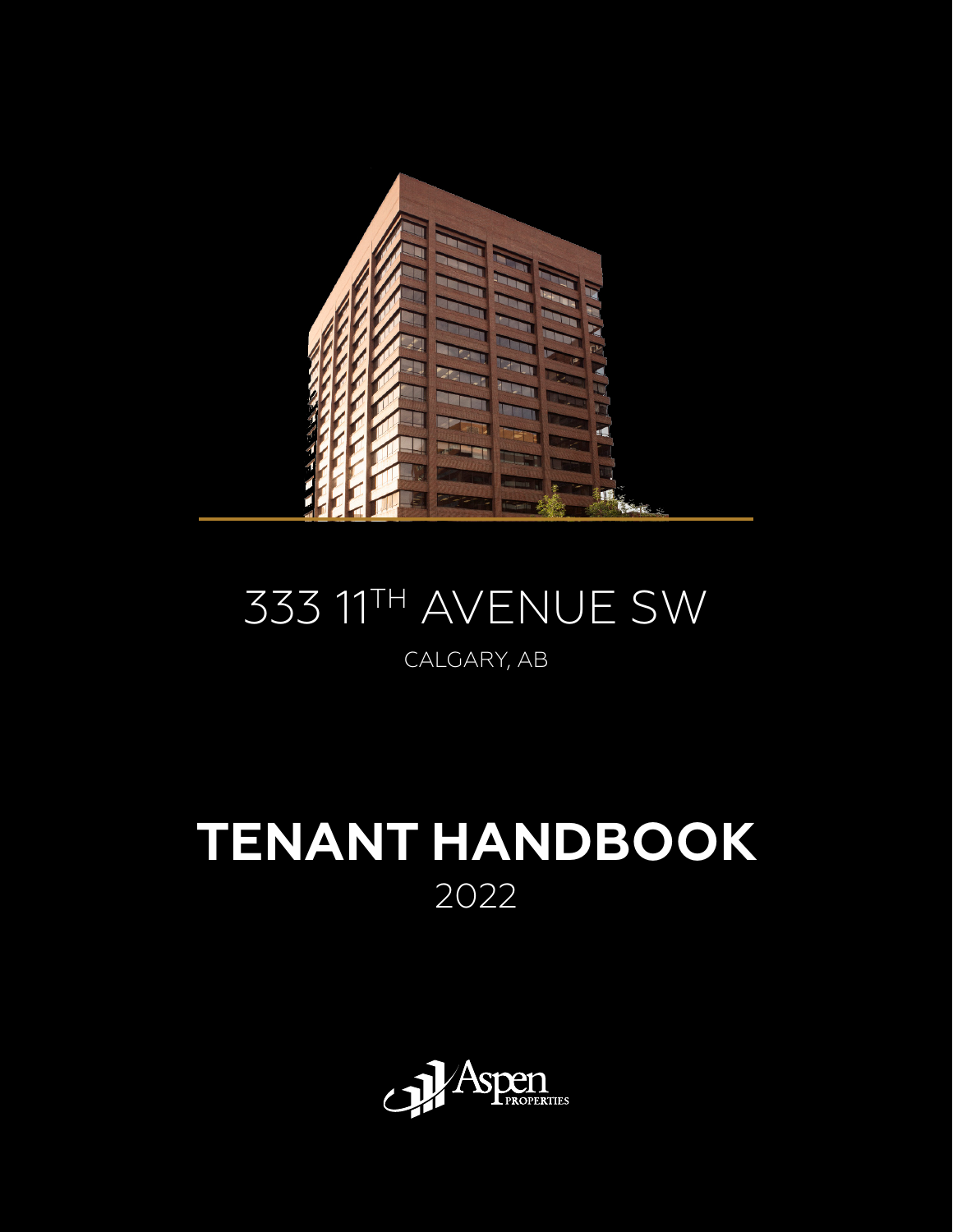

# 333 11TH AVENUE SW

#### CALGARY, AB

# **TENANT HANDBOOK** 2022

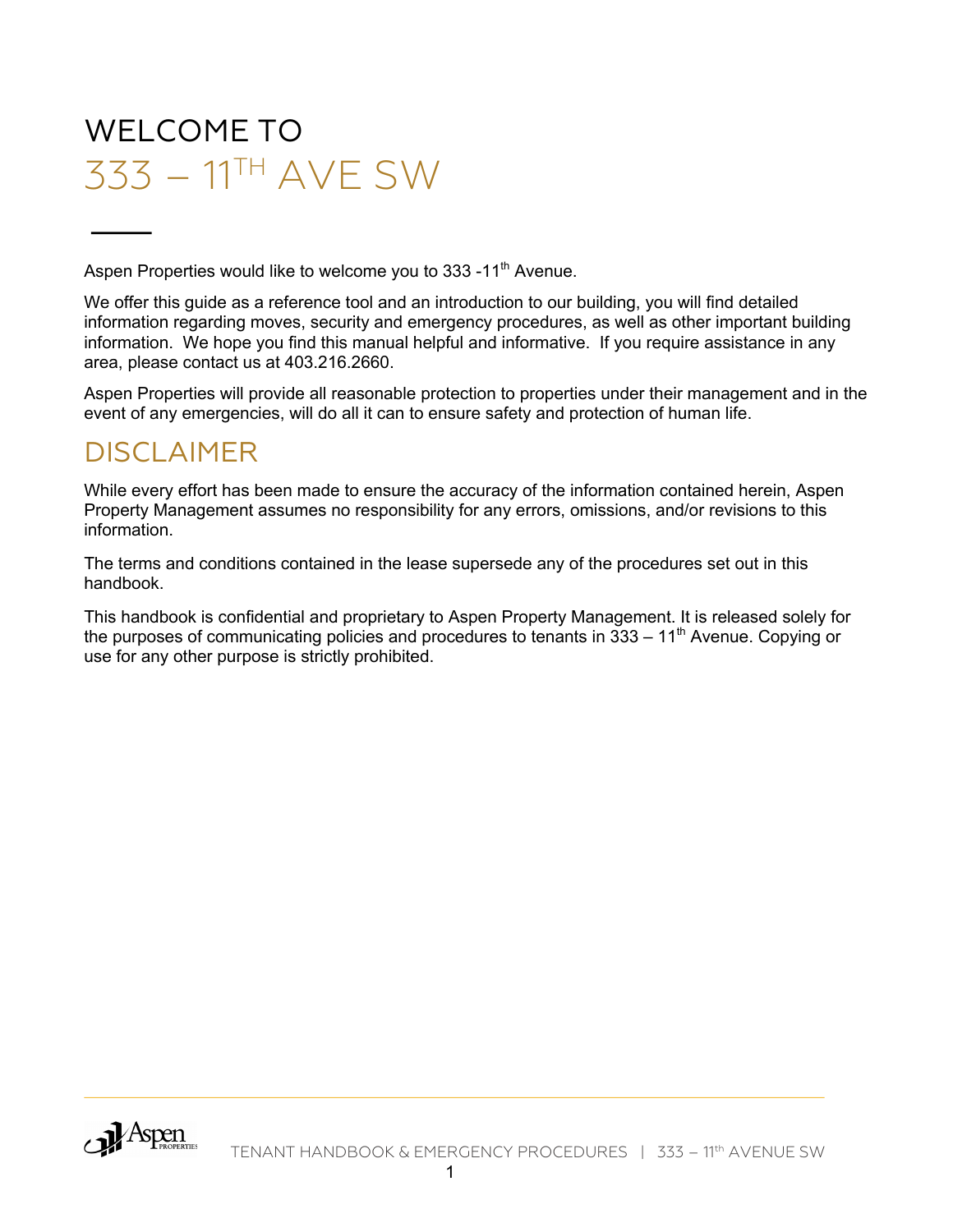# WELCOME TO 333 – 11TH AVE SW

Aspen Properties would like to welcome you to 333 -11<sup>th</sup> Avenue.

We offer this guide as a reference tool and an introduction to our building, you will find detailed information regarding moves, security and emergency procedures, as well as other important building information. We hope you find this manual helpful and informative. If you require assistance in any area, please contact us at 403.216.2660.

Aspen Properties will provide all reasonable protection to properties under their management and in the event of any emergencies, will do all it can to ensure safety and protection of human life.

#### DISCI AIMFR

While every effort has been made to ensure the accuracy of the information contained herein, Aspen Property Management assumes no responsibility for any errors, omissions, and/or revisions to this information.

The terms and conditions contained in the lease supersede any of the procedures set out in this handbook.

This handbook is confidential and proprietary to Aspen Property Management. It is released solely for the purposes of communicating policies and procedures to tenants in  $333 - 11<sup>th</sup>$  Avenue. Copying or use for any other purpose is strictly prohibited.

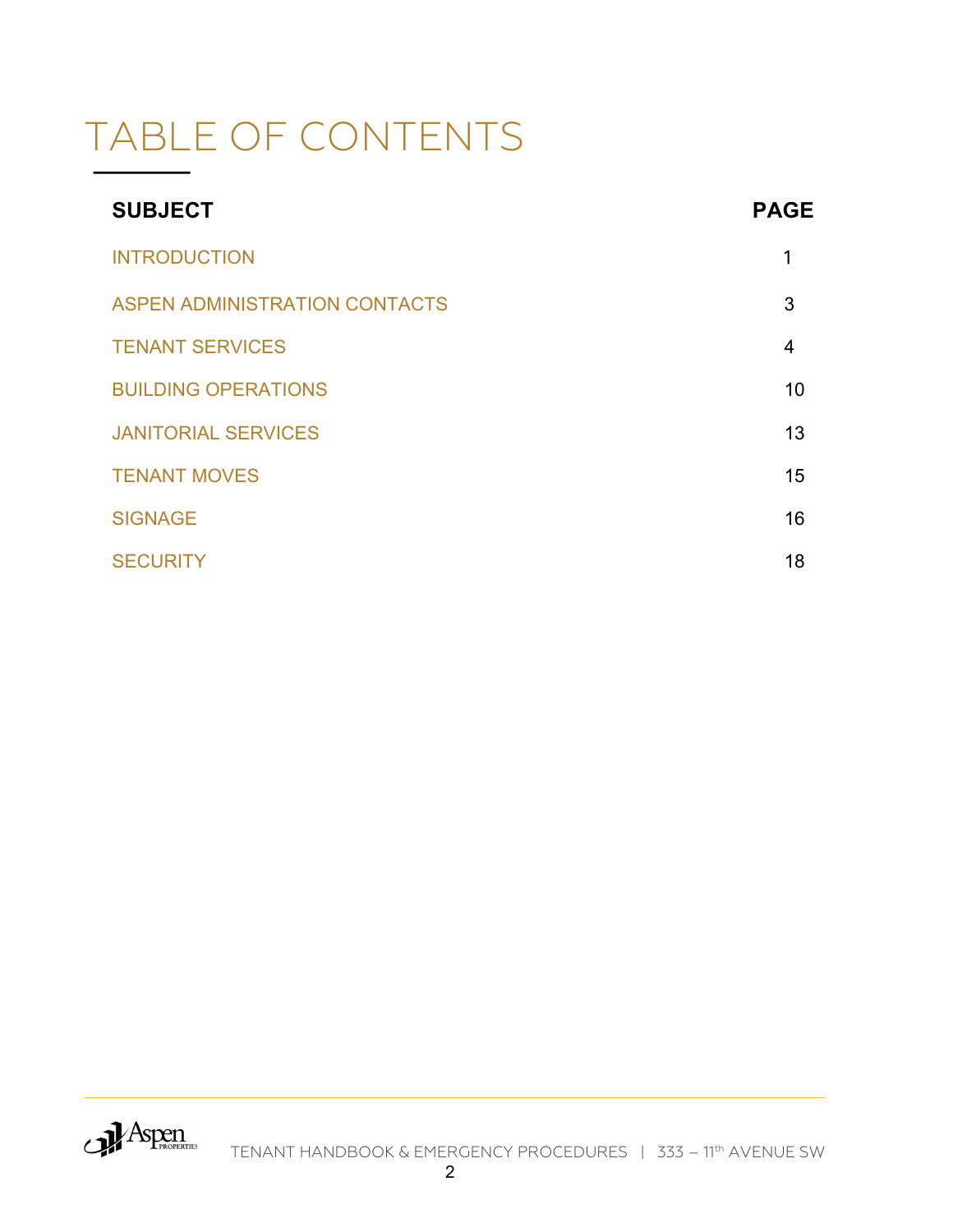# TABLE OF CONTENTS

| <b>SUBJECT</b>                       | <b>PAGE</b> |
|--------------------------------------|-------------|
| <b>INTRODUCTION</b>                  | 1           |
| <b>ASPEN ADMINISTRATION CONTACTS</b> | 3           |
| <b>TENANT SERVICES</b>               | 4           |
| <b>BUILDING OPERATIONS</b>           | 10          |
| <b>JANITORIAL SERVICES</b>           | 13          |
| <b>TENANT MOVES</b>                  | 15          |
| <b>SIGNAGE</b>                       | 16          |
| <b>SECURITY</b>                      | 18          |

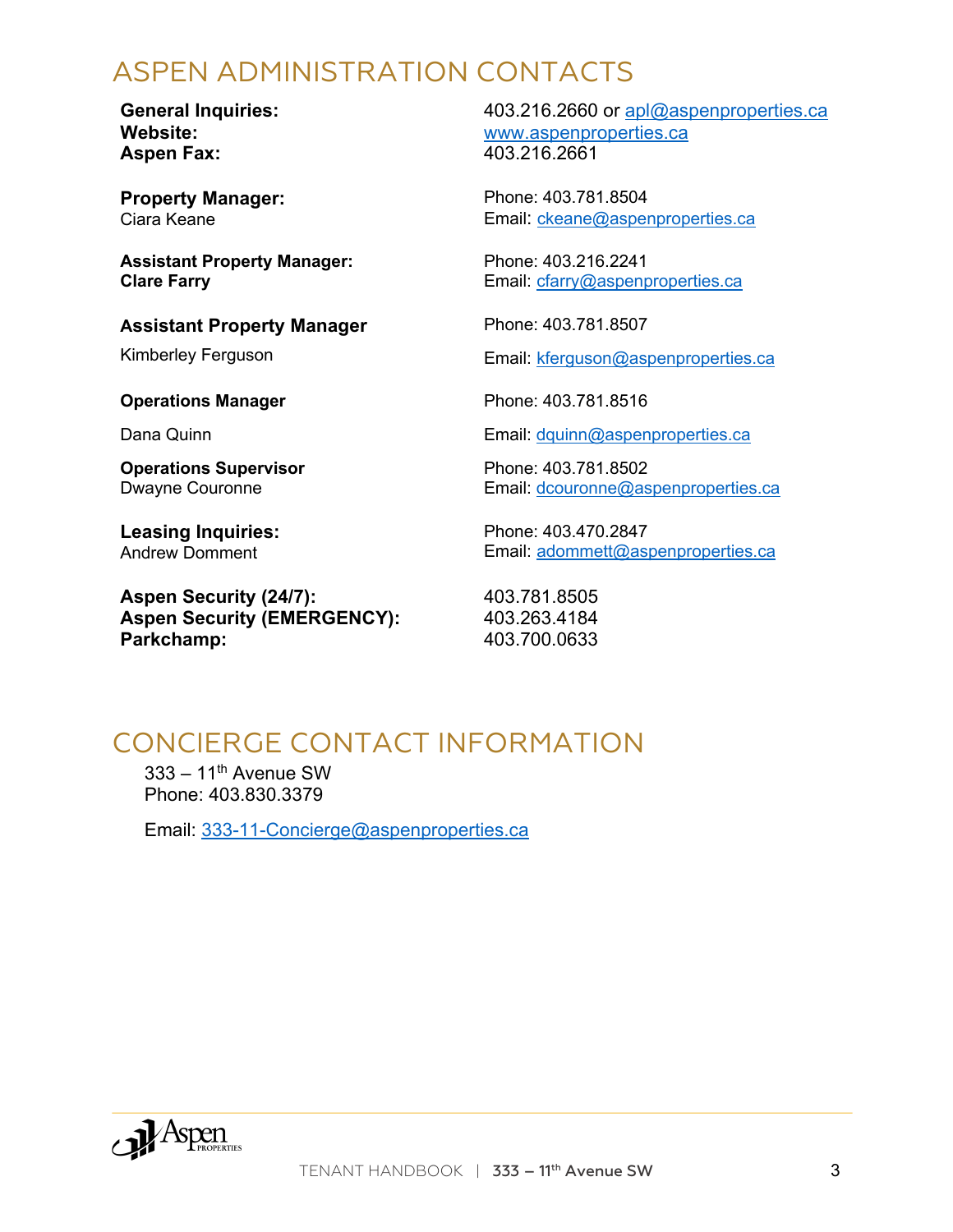### ASPEN ADMINISTRATION CONTACTS

**General Inquiries: Website: Aspen Fax:**

**Property Manager:** Ciara Keane

**Assistant Property Manager: Clare Farry**

#### **Assistant Property Manager**

Kimberley Ferguson

#### **Operations Manager**

Dana Quinn

**Operations Supervisor** Dwayne Couronne

**Leasing Inquiries:** Andrew Domment

**Aspen Security (24/7): Aspen Security (EMERGENCY): Parkchamp:**

403.216.2660 or apl@aspenproperties.ca www.aspenproperties.ca 403.216.2661

Phone: 403.781.8504 Email: ckeane@aspenproperties.ca

Phone: 403.216.2241 Email: cfarry@aspenproperties.ca

Phone: 403.781.8507

Email: kferguson@aspenproperties.ca

Phone: 403.781.8516

Email: dquinn@aspenproperties.ca

Phone: 403.781.8502 Email: dcouronne@aspenproperties.ca

Phone: 403.470.2847 Email: adommett@aspenproperties.ca

403.781.8505 403.263.4184 403.700.0633

#### CONCIERGE CONTACT INFORMATION

 $333 - 11$ <sup>th</sup> Avenue SW Phone: 403.830.3379

Email: 333-11-Concierge@aspenproperties.ca

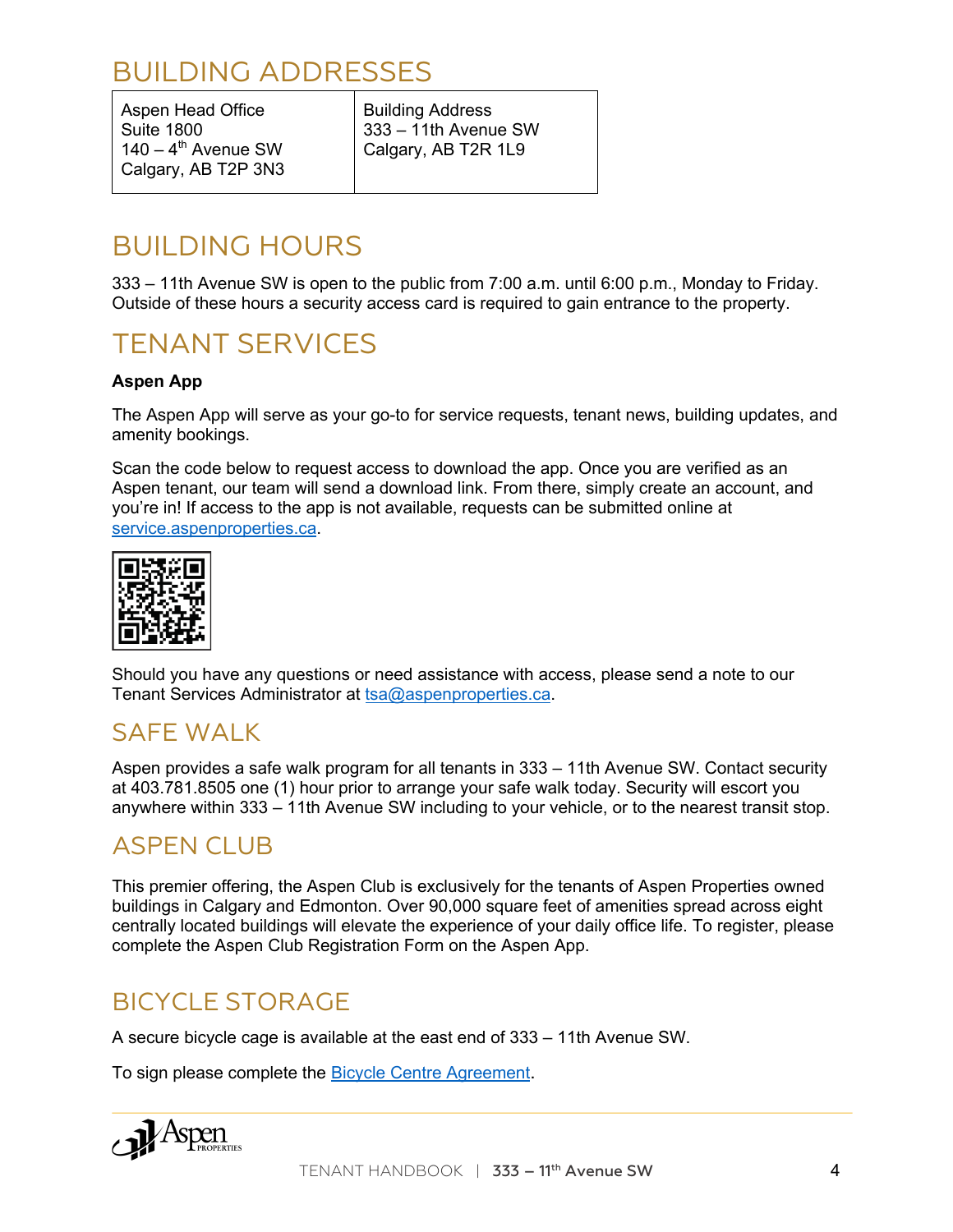### BUILDING ADDRESSES

Aspen Head Office Suite 1800  $140 - 4$ <sup>th</sup> Avenue SW Calgary, AB T2P 3N3 Building Address 333 – 11th Avenue SW Calgary, AB T2R 1L9

#### BUILDING HOURS

333 – 11th Avenue SW is open to the public from 7:00 a.m. until 6:00 p.m., Monday to Friday. Outside of these hours a security access card is required to gain entrance to the property.

#### TENANT SERVICES

#### **Aspen App**

The Aspen App will serve as your go-to for service requests, tenant news, building updates, and amenity bookings.

Scan the code below to request access to download the app. Once you are verified as an Aspen tenant, our team will send a download link. From there, simply create an account, and you're in! If access to the app is not available, requests can be submitted online at service.aspenproperties.ca.



Should you have any questions or need assistance with access, please send a note to our Tenant Services Administrator at tsa@aspenproperties.ca.

#### SAFE WALK

Aspen provides a safe walk program for all tenants in 333 – 11th Avenue SW. Contact security at 403.781.8505 one (1) hour prior to arrange your safe walk today. Security will escort you anywhere within 333 – 11th Avenue SW including to your vehicle, or to the nearest transit stop.

#### ASPEN CLUB

This premier offering, the Aspen Club is exclusively for the tenants of Aspen Properties owned buildings in Calgary and Edmonton. Over 90,000 square feet of amenities spread across eight centrally located buildings will elevate the experience of your daily office life. To register, please complete the Aspen Club Registration Form on the Aspen App.

#### BICYCLE STORAGE

A secure bicycle cage is available at the east end of 333 – 11th Avenue SW.

To sign please complete the Bicycle Centre Agreement.

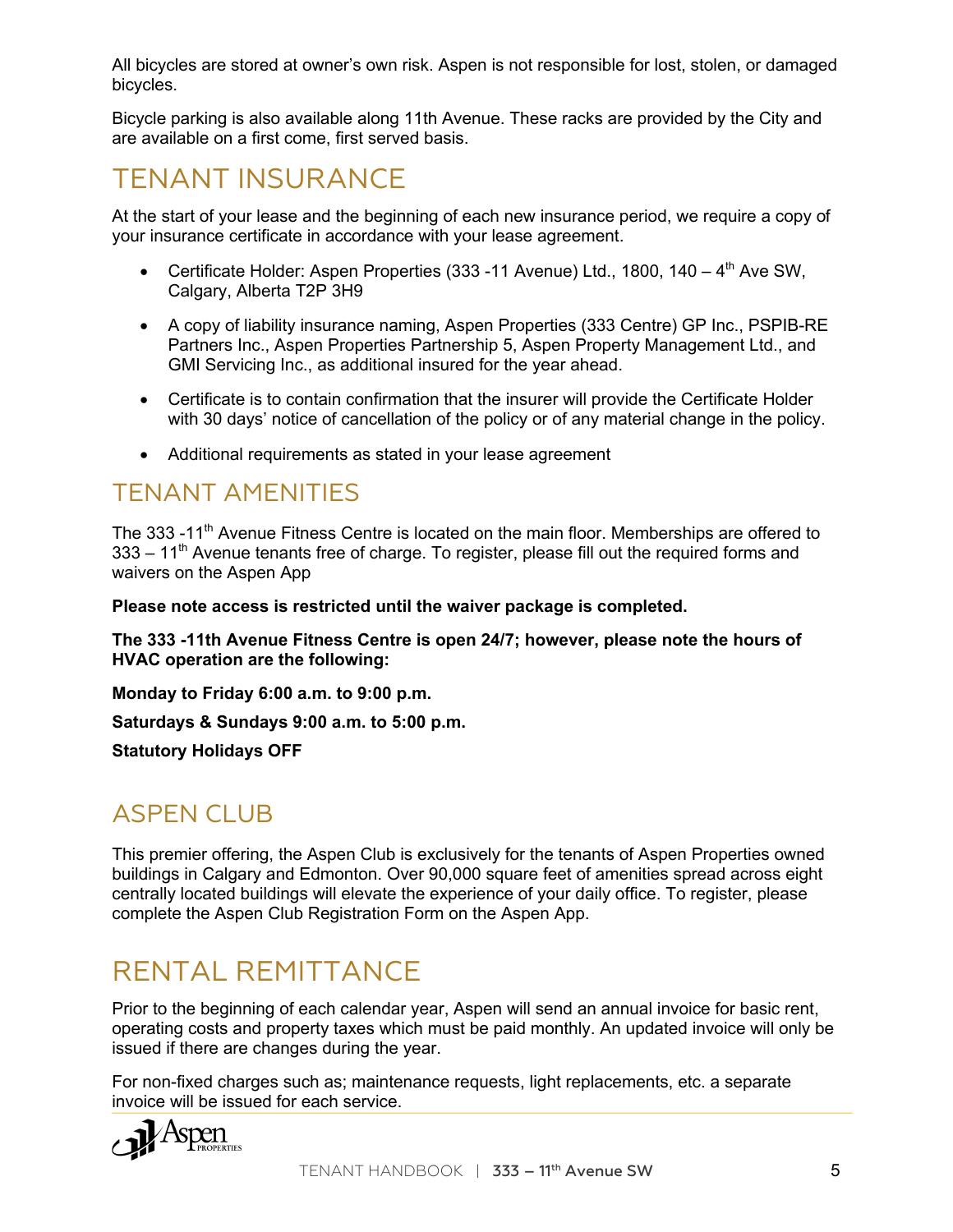All bicycles are stored at owner's own risk. Aspen is not responsible for lost, stolen, or damaged bicycles.

Bicycle parking is also available along 11th Avenue. These racks are provided by the City and are available on a first come, first served basis.

#### TENANT INSURANCE

At the start of your lease and the beginning of each new insurance period, we require a copy of your insurance certificate in accordance with your lease agreement.

- Certificate Holder: Aspen Properties (333 11 Avenue) Ltd., 1800, 140  $-$  4<sup>th</sup> Ave SW, Calgary, Alberta T2P 3H9
- A copy of liability insurance naming, Aspen Properties (333 Centre) GP Inc., PSPIB-RE Partners Inc., Aspen Properties Partnership 5, Aspen Property Management Ltd., and GMI Servicing Inc., as additional insured for the year ahead.
- Certificate is to contain confirmation that the insurer will provide the Certificate Holder with 30 days' notice of cancellation of the policy or of any material change in the policy.
- Additional requirements as stated in your lease agreement

#### TENANT AMENITIES

The 333 -11<sup>th</sup> Avenue Fitness Centre is located on the main floor. Memberships are offered to  $333 - 11<sup>th</sup>$  Avenue tenants free of charge. To register, please fill out the required forms and waivers on the Aspen App

**Please note access is restricted until the waiver package is completed.**

**The 333 -11th Avenue Fitness Centre is open 24/7; however, please note the hours of HVAC operation are the following:**

**Monday to Friday 6:00 a.m. to 9:00 p.m.**

**Saturdays & Sundays 9:00 a.m. to 5:00 p.m.**

**Statutory Holidays OFF**

#### ASPEN CLUB

This premier offering, the Aspen Club is exclusively for the tenants of Aspen Properties owned buildings in Calgary and Edmonton. Over 90,000 square feet of amenities spread across eight centrally located buildings will elevate the experience of your daily office. To register, please complete the Aspen Club Registration Form on the Aspen App.

#### RENTAL REMITTANCE

Prior to the beginning of each calendar year, Aspen will send an annual invoice for basic rent, operating costs and property taxes which must be paid monthly. An updated invoice will only be issued if there are changes during the year.

For non-fixed charges such as; maintenance requests, light replacements, etc. a separate invoice will be issued for each service.

$$
\mathcal{P}^{\text{A}}\text{Spp}_{\text{Properms}}
$$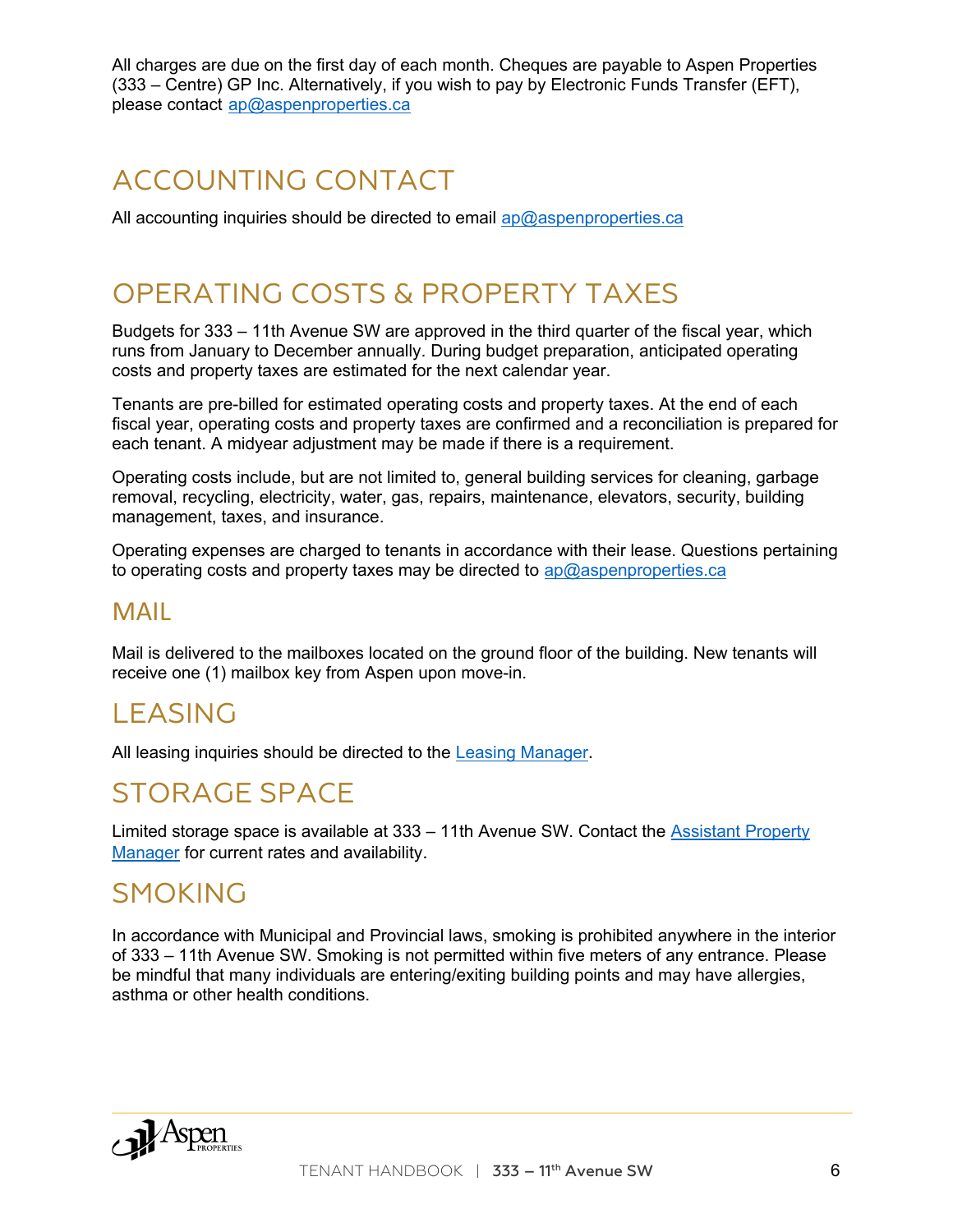All charges are due on the first day of each month. Cheques are payable to Aspen Properties (333 – Centre) GP Inc. Alternatively, if you wish to pay by Electronic Funds Transfer (EFT), please contact ap@aspenproperties.ca

#### ACCOUNTING CONTACT

All accounting inquiries should be directed to email ap@aspenproperties.ca

#### OPERATING COSTS & PROPERTY TAXES

Budgets for 333 – 11th Avenue SW are approved in the third quarter of the fiscal year, which runs from January to December annually. During budget preparation, anticipated operating costs and property taxes are estimated for the next calendar year.

Tenants are pre-billed for estimated operating costs and property taxes. At the end of each fiscal year, operating costs and property taxes are confirmed and a reconciliation is prepared for each tenant. A midyear adjustment may be made if there is a requirement.

Operating costs include, but are not limited to, general building services for cleaning, garbage removal, recycling, electricity, water, gas, repairs, maintenance, elevators, security, building management, taxes, and insurance.

Operating expenses are charged to tenants in accordance with their lease. Questions pertaining to operating costs and property taxes may be directed to  $ap@aspenproperties.ca$ 

#### MAIL

Mail is delivered to the mailboxes located on the ground floor of the building. New tenants will receive one (1) mailbox key from Aspen upon move-in.

#### LEASING

All leasing inquiries should be directed to the Leasing Manager.

#### STORAGE SPACE

Limited storage space is available at 333 – 11th Avenue SW. Contact the Assistant Property Manager for current rates and availability.

#### SMOKING

In accordance with Municipal and Provincial laws, smoking is prohibited anywhere in the interior of 333 – 11th Avenue SW. Smoking is not permitted within five meters of any entrance. Please be mindful that many individuals are entering/exiting building points and may have allergies, asthma or other health conditions.

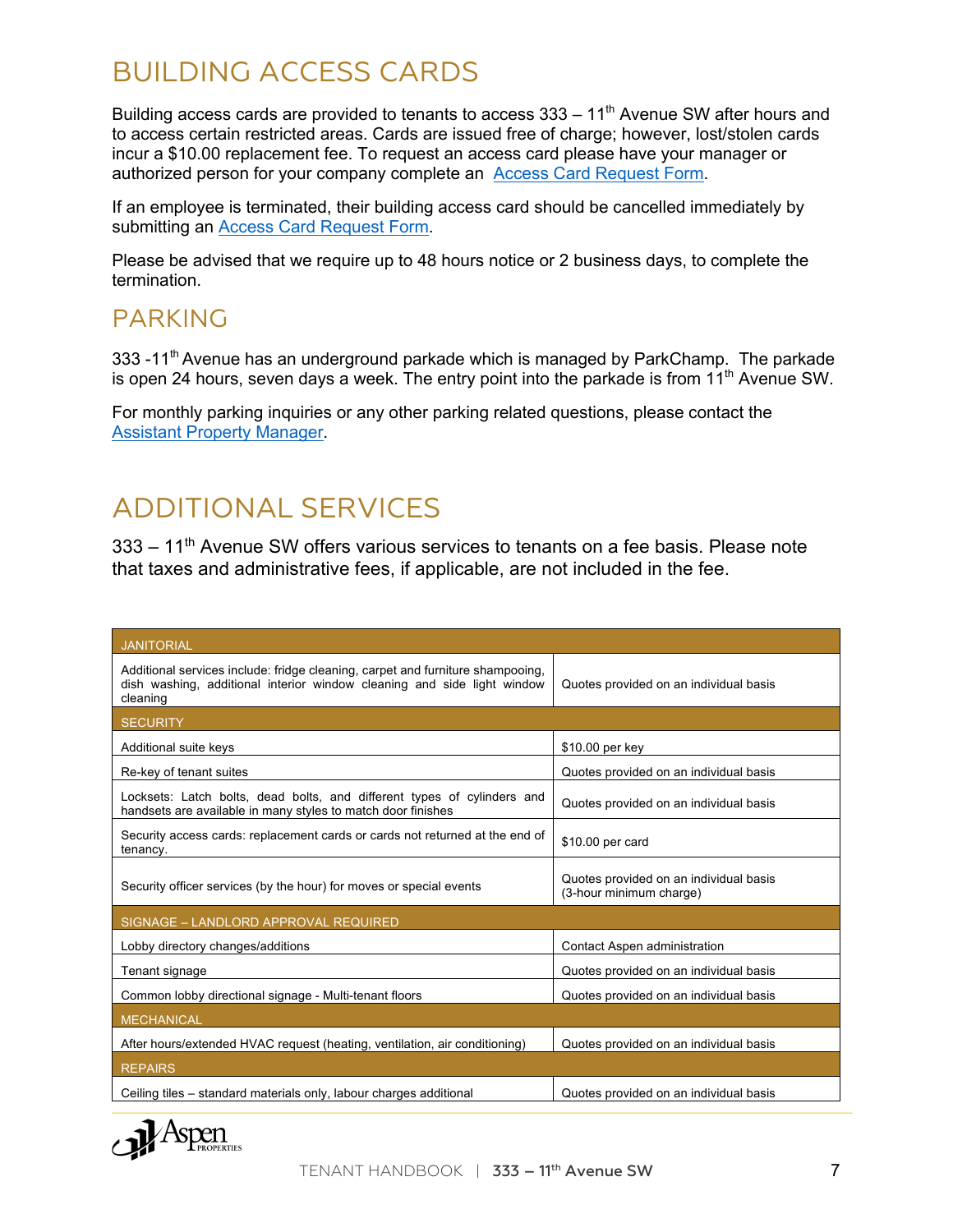# BUILDING ACCESS CARDS

Building access cards are provided to tenants to access  $333 - 11<sup>th</sup>$  Avenue SW after hours and to access certain restricted areas. Cards are issued free of charge; however, lost/stolen cards incur a \$10.00 replacement fee. To request an access card please have your manager or authorized person for your company complete an Access Card Request Form.

If an employee is terminated, their building access card should be cancelled immediately by submitting an Access Card Request Form.

Please be advised that we require up to 48 hours notice or 2 business days, to complete the termination.

#### PARKING

333 -11<sup>th</sup> Avenue has an underground parkade which is managed by ParkChamp. The parkade is open 24 hours, seven days a week. The entry point into the parkade is from  $11<sup>th</sup>$  Avenue SW.

For monthly parking inquiries or any other parking related questions, please contact the Assistant Property Manager.

# ADDITIONAL SERVICES

333 – 11th Avenue SW offers various services to tenants on a fee basis. Please note that taxes and administrative fees, if applicable, are not included in the fee.

| <b>JANITORIAL</b>                                                                                                                                                     |                                                                   |  |
|-----------------------------------------------------------------------------------------------------------------------------------------------------------------------|-------------------------------------------------------------------|--|
| Additional services include: fridge cleaning, carpet and furniture shampooing,<br>dish washing, additional interior window cleaning and side light window<br>cleaning | Quotes provided on an individual basis                            |  |
| <b>SECURITY</b>                                                                                                                                                       |                                                                   |  |
| Additional suite keys                                                                                                                                                 | \$10.00 per key                                                   |  |
| Re-key of tenant suites                                                                                                                                               | Quotes provided on an individual basis                            |  |
| Locksets: Latch bolts, dead bolts, and different types of cylinders and<br>handsets are available in many styles to match door finishes                               | Quotes provided on an individual basis                            |  |
| Security access cards: replacement cards or cards not returned at the end of<br>tenancy.                                                                              | \$10.00 per card                                                  |  |
| Security officer services (by the hour) for moves or special events                                                                                                   | Quotes provided on an individual basis<br>(3-hour minimum charge) |  |
| SIGNAGE - LANDLORD APPROVAL REQUIRED                                                                                                                                  |                                                                   |  |
| Lobby directory changes/additions                                                                                                                                     | Contact Aspen administration                                      |  |
| Tenant signage                                                                                                                                                        | Quotes provided on an individual basis                            |  |
| Common lobby directional signage - Multi-tenant floors                                                                                                                | Quotes provided on an individual basis                            |  |
| <b>MECHANICAL</b>                                                                                                                                                     |                                                                   |  |
| After hours/extended HVAC request (heating, ventilation, air conditioning)                                                                                            | Quotes provided on an individual basis                            |  |
| <b>REPAIRS</b>                                                                                                                                                        |                                                                   |  |
| Ceiling tiles - standard materials only, labour charges additional                                                                                                    | Quotes provided on an individual basis                            |  |

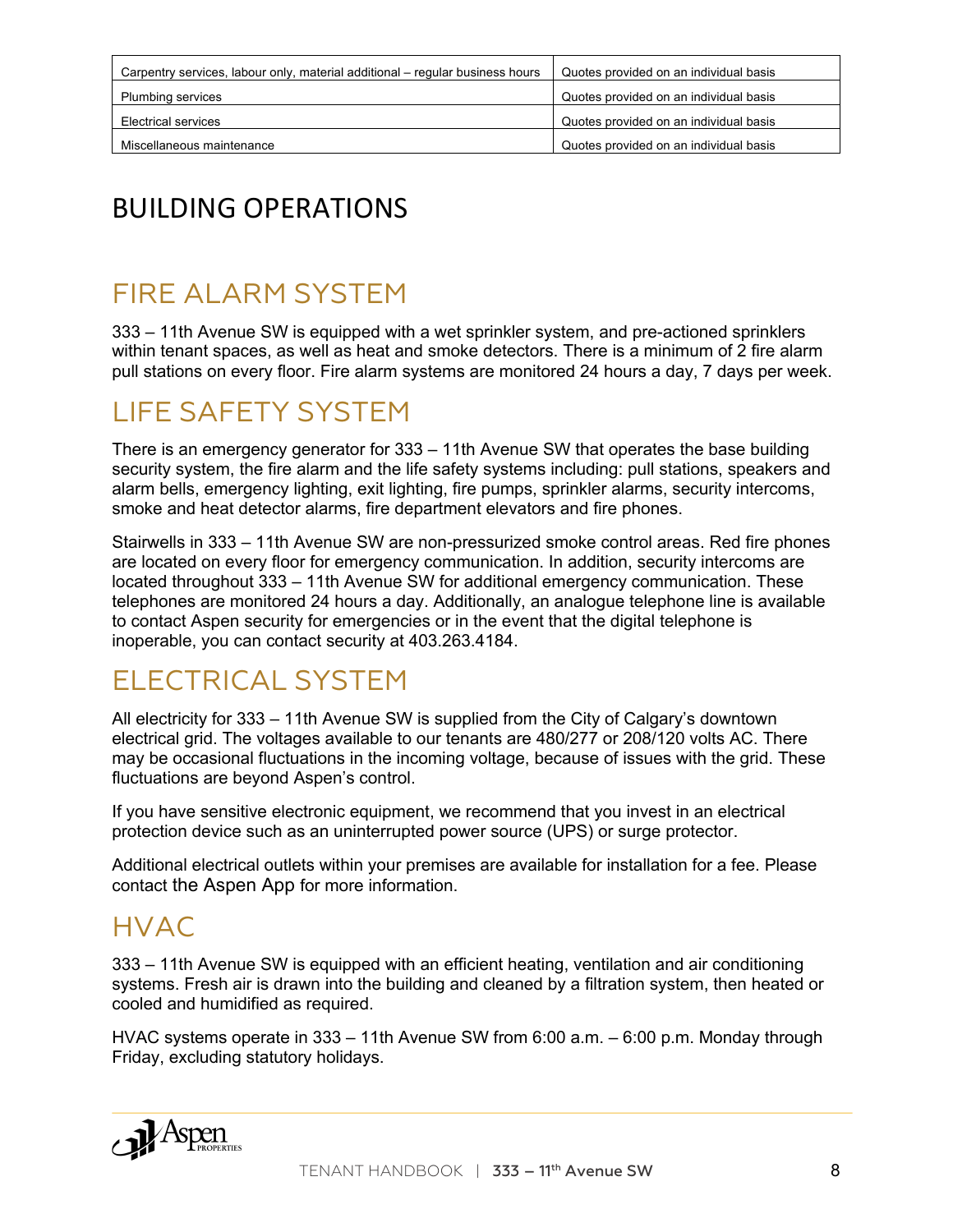| Carpentry services, labour only, material additional – regular business hours | Quotes provided on an individual basis |
|-------------------------------------------------------------------------------|----------------------------------------|
| <b>Plumbing services</b>                                                      | Quotes provided on an individual basis |
| Electrical services                                                           | Quotes provided on an individual basis |
| Miscellaneous maintenance                                                     | Quotes provided on an individual basis |

# BUILDING OPERATIONS

#### FIRE ALARM SYSTEM

333 – 11th Avenue SW is equipped with a wet sprinkler system, and pre-actioned sprinklers within tenant spaces, as well as heat and smoke detectors. There is a minimum of 2 fire alarm pull stations on every floor. Fire alarm systems are monitored 24 hours a day, 7 days per week.

#### LIFE SAFETY SYSTEM

There is an emergency generator for 333 – 11th Avenue SW that operates the base building security system, the fire alarm and the life safety systems including: pull stations, speakers and alarm bells, emergency lighting, exit lighting, fire pumps, sprinkler alarms, security intercoms, smoke and heat detector alarms, fire department elevators and fire phones.

Stairwells in 333 – 11th Avenue SW are non-pressurized smoke control areas. Red fire phones are located on every floor for emergency communication. In addition, security intercoms are located throughout 333 – 11th Avenue SW for additional emergency communication. These telephones are monitored 24 hours a day. Additionally, an analogue telephone line is available to contact Aspen security for emergencies or in the event that the digital telephone is inoperable, you can contact security at 403.263.4184.

#### ELECTRICAL SYSTEM

All electricity for 333 – 11th Avenue SW is supplied from the City of Calgary's downtown electrical grid. The voltages available to our tenants are 480/277 or 208/120 volts AC. There may be occasional fluctuations in the incoming voltage, because of issues with the grid. These fluctuations are beyond Aspen's control.

If you have sensitive electronic equipment, we recommend that you invest in an electrical protection device such as an uninterrupted power source (UPS) or surge protector.

Additional electrical outlets within your premises are available for installation for a fee. Please contact the Aspen App for more information.

#### HVAC

333 – 11th Avenue SW is equipped with an efficient heating, ventilation and air conditioning systems. Fresh air is drawn into the building and cleaned by a filtration system, then heated or cooled and humidified as required.

HVAC systems operate in 333 – 11th Avenue SW from 6:00 a.m. – 6:00 p.m. Monday through Friday, excluding statutory holidays.

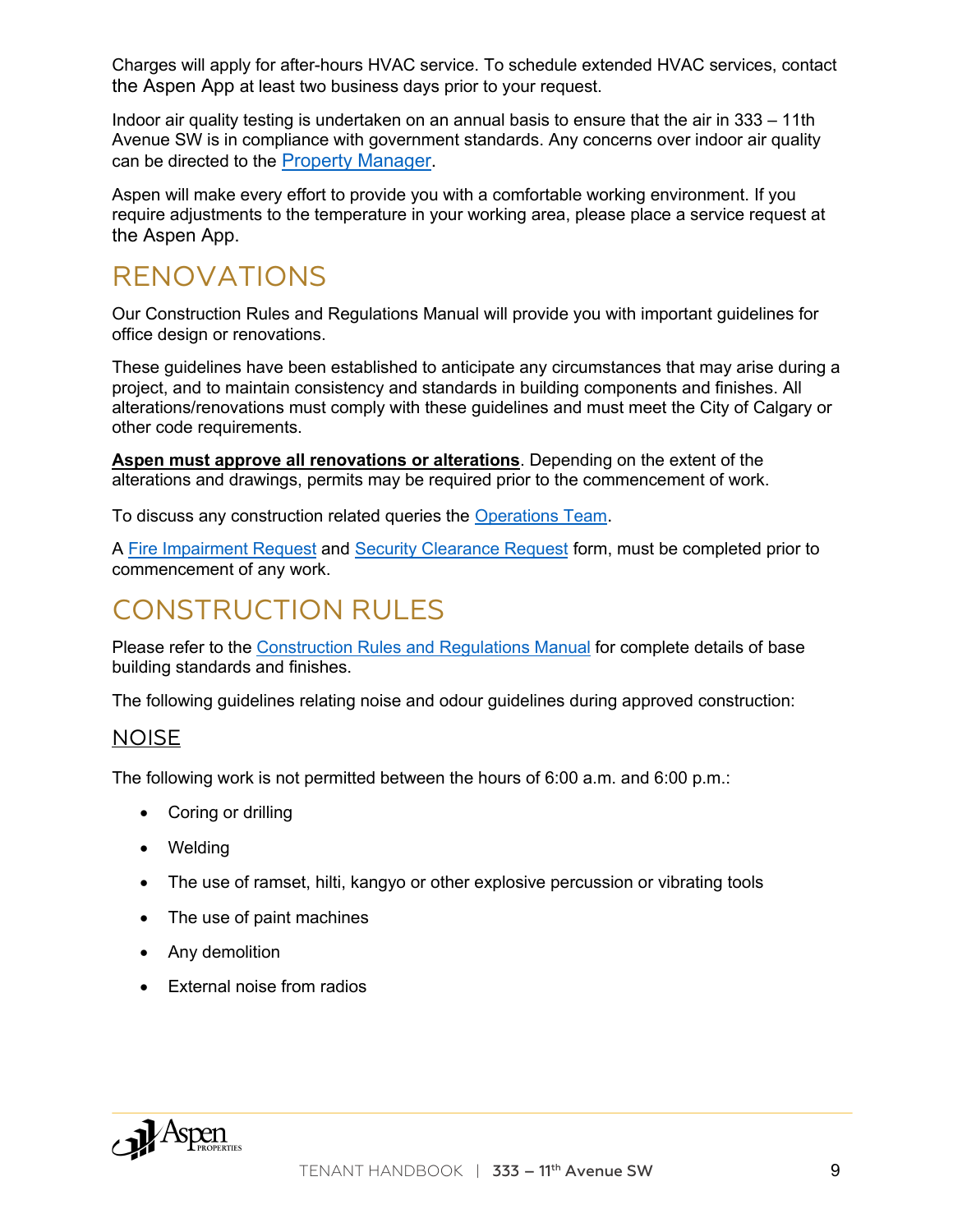Charges will apply for after-hours HVAC service. To schedule extended HVAC services, contact the Aspen App at least two business days prior to your request.

Indoor air quality testing is undertaken on an annual basis to ensure that the air in 333 – 11th Avenue SW is in compliance with government standards. Any concerns over indoor air quality can be directed to the Property Manager.

Aspen will make every effort to provide you with a comfortable working environment. If you require adjustments to the temperature in your working area, please place a service request at the Aspen App.

#### RENOVATIONS

Our Construction Rules and Regulations Manual will provide you with important guidelines for office design or renovations.

These guidelines have been established to anticipate any circumstances that may arise during a project, and to maintain consistency and standards in building components and finishes. All alterations/renovations must comply with these guidelines and must meet the City of Calgary or other code requirements.

**Aspen must approve all renovations or alterations**. Depending on the extent of the alterations and drawings, permits may be required prior to the commencement of work.

To discuss any construction related queries the Operations Team.

A Fire Impairment Request and Security Clearance Request form, must be completed prior to commencement of any work.

# CONSTRUCTION RUI FS

Please refer to the Construction Rules and Regulations Manual for complete details of base building standards and finishes.

The following guidelines relating noise and odour guidelines during approved construction:

#### NOISE

The following work is not permitted between the hours of 6:00 a.m. and 6:00 p.m.:

- Coring or drilling
- Welding
- The use of ramset, hilti, kangyo or other explosive percussion or vibrating tools
- The use of paint machines
- Any demolition
- External noise from radios

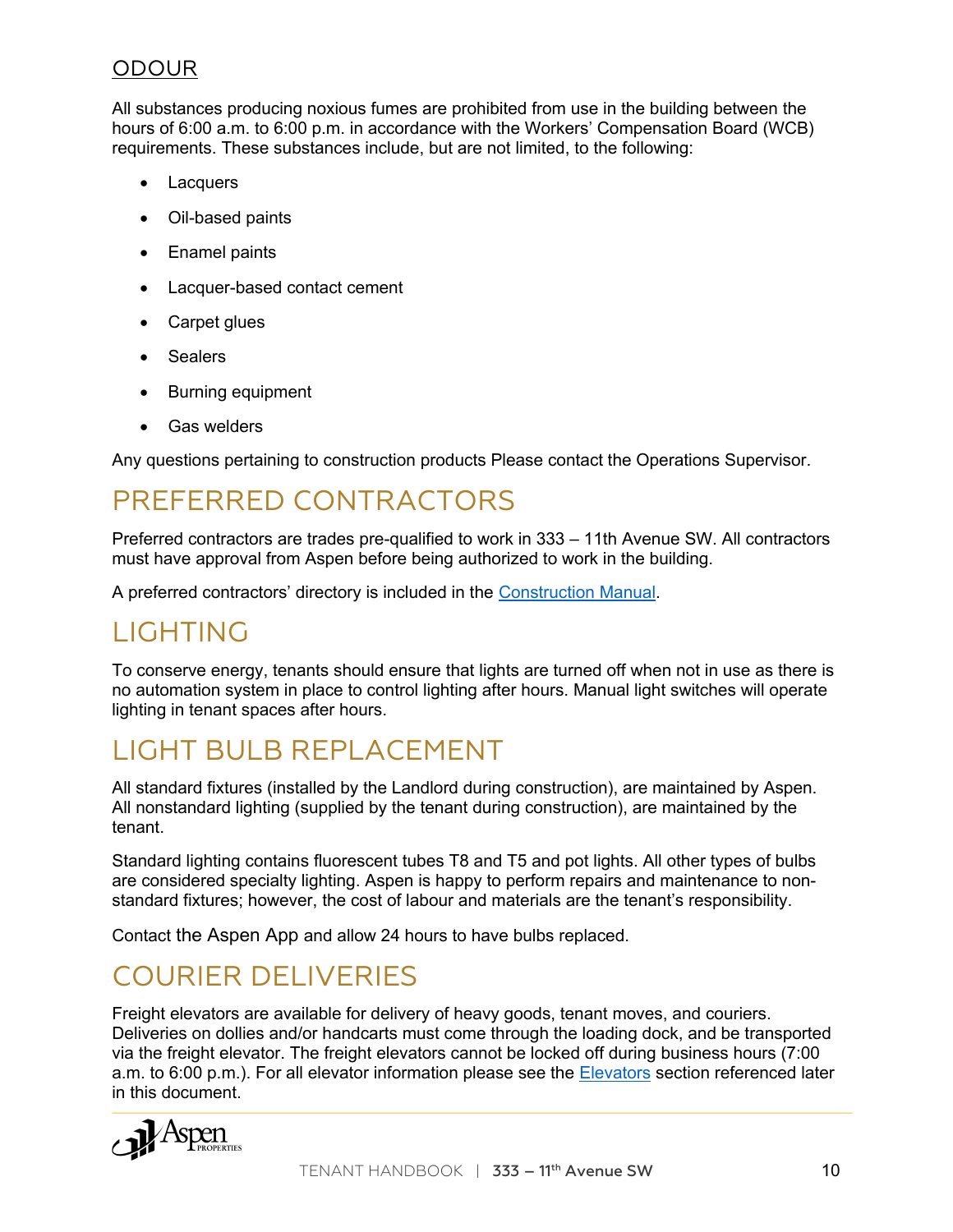#### ODOUR

All substances producing noxious fumes are prohibited from use in the building between the hours of 6:00 a.m. to 6:00 p.m. in accordance with the Workers' Compensation Board (WCB) requirements. These substances include, but are not limited, to the following:

- Lacquers
- Oil-based paints
- Enamel paints
- Lacquer-based contact cement
- Carpet glues
- Sealers
- Burning equipment
- Gas welders

Any questions pertaining to construction products Please contact the Operations Supervisor.

#### PREFERRED CONTRACTORS

Preferred contractors are trades pre-qualified to work in 333 – 11th Avenue SW. All contractors must have approval from Aspen before being authorized to work in the building.

A preferred contractors' directory is included in the Construction Manual.

#### LIGHTING

To conserve energy, tenants should ensure that lights are turned off when not in use as there is no automation system in place to control lighting after hours. Manual light switches will operate lighting in tenant spaces after hours.

#### LIGHT BULB REPLACEMENT

All standard fixtures (installed by the Landlord during construction), are maintained by Aspen. All nonstandard lighting (supplied by the tenant during construction), are maintained by the tenant.

Standard lighting contains fluorescent tubes T8 and T5 and pot lights. All other types of bulbs are considered specialty lighting. Aspen is happy to perform repairs and maintenance to nonstandard fixtures; however, the cost of labour and materials are the tenant's responsibility.

Contact the Aspen App and allow 24 hours to have bulbs replaced.

#### COURIER DELIVERIES

Freight elevators are available for delivery of heavy goods, tenant moves, and couriers. Deliveries on dollies and/or handcarts must come through the loading dock, and be transported via the freight elevator. The freight elevators cannot be locked off during business hours (7:00 a.m. to 6:00 p.m.). For all elevator information please see the Elevators section referenced later in this document.

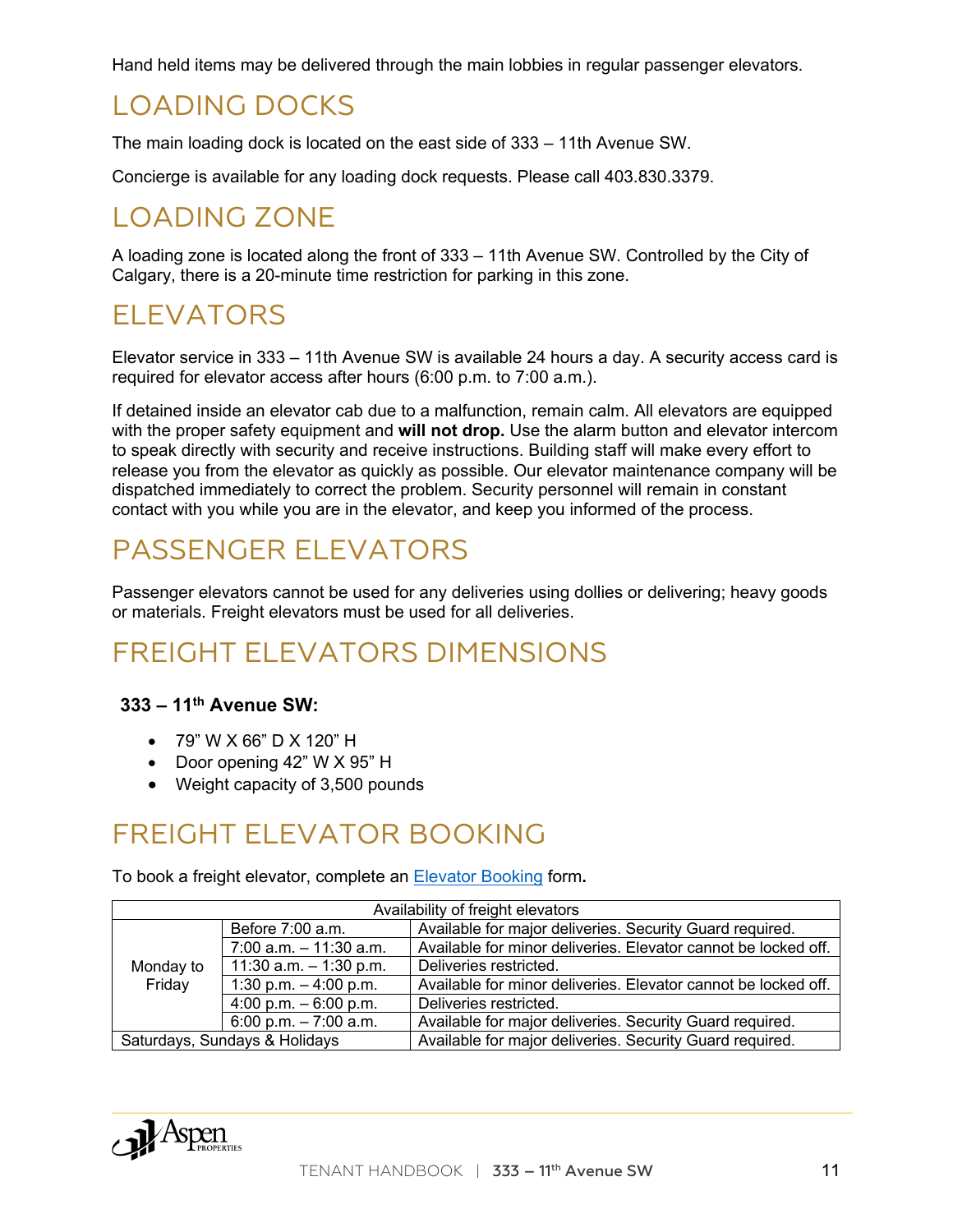Hand held items may be delivered through the main lobbies in regular passenger elevators.

#### LOADING DOCKS

The main loading dock is located on the east side of 333 – 11th Avenue SW.

Concierge is available for any loading dock requests. Please call 403.830.3379.

## LOADING ZONE

A loading zone is located along the front of 333 – 11th Avenue SW. Controlled by the City of Calgary, there is a 20-minute time restriction for parking in this zone.

#### ELEVATORS

Elevator service in 333 – 11th Avenue SW is available 24 hours a day. A security access card is required for elevator access after hours (6:00 p.m. to 7:00 a.m.).

If detained inside an elevator cab due to a malfunction, remain calm. All elevators are equipped with the proper safety equipment and **will not drop.** Use the alarm button and elevator intercom to speak directly with security and receive instructions. Building staff will make every effort to release you from the elevator as quickly as possible. Our elevator maintenance company will be dispatched immediately to correct the problem. Security personnel will remain in constant contact with you while you are in the elevator, and keep you informed of the process.

## PASSENGER ELEVATORS

Passenger elevators cannot be used for any deliveries using dollies or delivering; heavy goods or materials. Freight elevators must be used for all deliveries.

# FREIGHT ELEVATORS DIMENSIONS

#### **333 – 11th Avenue SW:**

- 79" W X 66" D X 120" H
- Door opening 42" W X 95" H
- Weight capacity of 3,500 pounds

#### FREIGHT ELEVATOR BOOKING

To book a freight elevator, complete an Elevator Booking form**.**

| Availability of freight elevators |                           |                                                                |
|-----------------------------------|---------------------------|----------------------------------------------------------------|
|                                   | Before 7:00 a.m.          | Available for major deliveries. Security Guard required.       |
|                                   | $7:00$ a.m. $-11:30$ a.m. | Available for minor deliveries. Elevator cannot be locked off. |
| Monday to                         | 11:30 a.m. $-$ 1:30 p.m.  | Deliveries restricted.                                         |
| Friday                            | 1:30 p.m. $-$ 4:00 p.m.   | Available for minor deliveries. Elevator cannot be locked off. |
|                                   | 4:00 p.m. $-6:00$ p.m.    | Deliveries restricted.                                         |
|                                   | 6:00 p.m. $-7:00$ a.m.    | Available for major deliveries. Security Guard required.       |
| Saturdays, Sundays & Holidays     |                           | Available for major deliveries. Security Guard required.       |

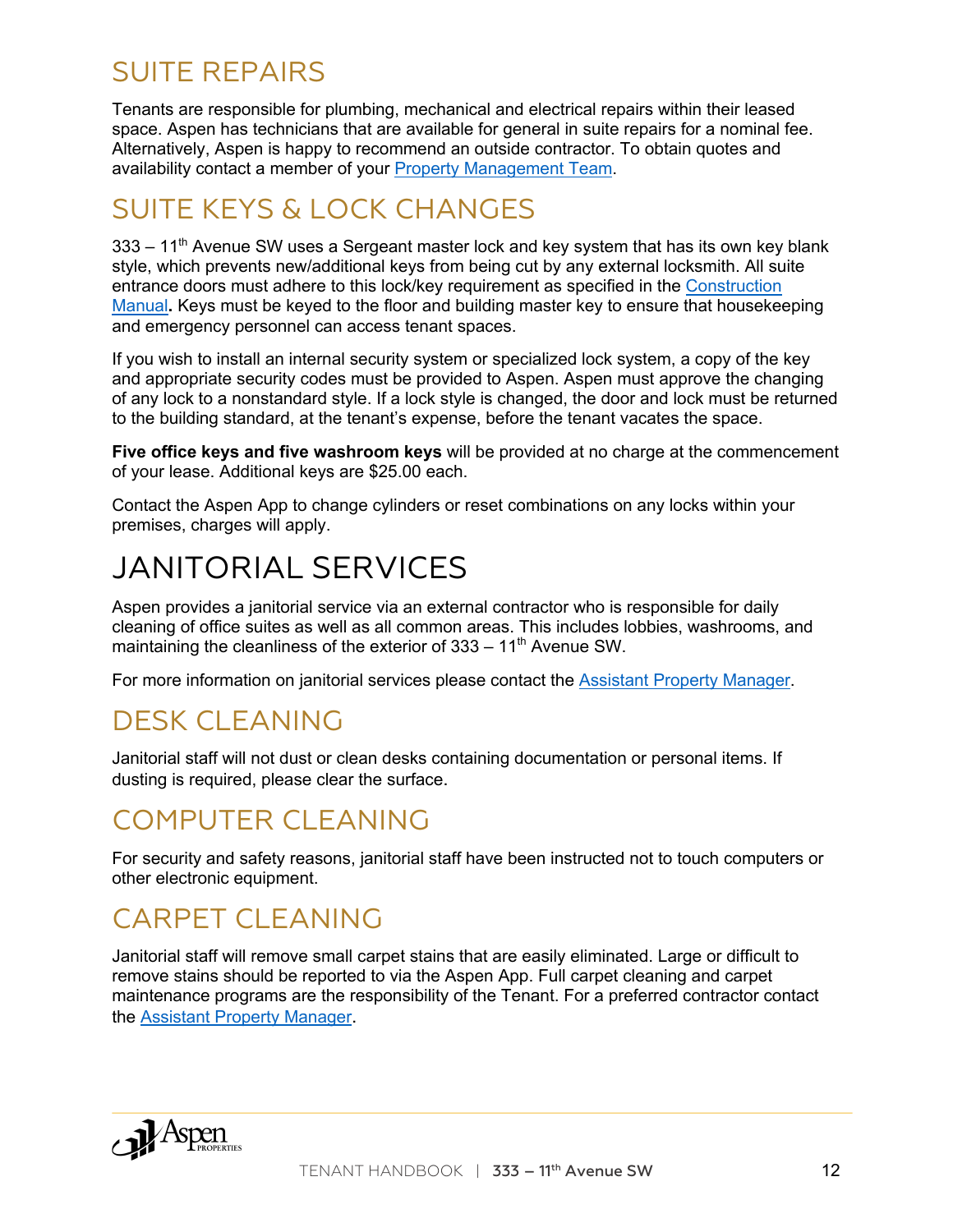#### SUITE REPAIRS

Tenants are responsible for plumbing, mechanical and electrical repairs within their leased space. Aspen has technicians that are available for general in suite repairs for a nominal fee. Alternatively, Aspen is happy to recommend an outside contractor. To obtain quotes and availability contact a member of your Property Management Team.

# SUITE KEYS & LOCK CHANGES

 $333 - 11<sup>th</sup>$  Avenue SW uses a Sergeant master lock and key system that has its own key blank style, which prevents new/additional keys from being cut by any external locksmith. All suite entrance doors must adhere to this lock/key requirement as specified in the Construction Manual**.** Keys must be keyed to the floor and building master key to ensure that housekeeping and emergency personnel can access tenant spaces.

If you wish to install an internal security system or specialized lock system, a copy of the key and appropriate security codes must be provided to Aspen. Aspen must approve the changing of any lock to a nonstandard style. If a lock style is changed, the door and lock must be returned to the building standard, at the tenant's expense, before the tenant vacates the space.

**Five office keys and five washroom keys** will be provided at no charge at the commencement of your lease. Additional keys are \$25.00 each.

Contact the Aspen App to change cylinders or reset combinations on any locks within your premises, charges will apply.

# JANITORIAL SERVICES

Aspen provides a janitorial service via an external contractor who is responsible for daily cleaning of office suites as well as all common areas. This includes lobbies, washrooms, and maintaining the cleanliness of the exterior of  $333 - 11<sup>th</sup>$  Avenue SW.

For more information on janitorial services please contact the Assistant Property Manager.

#### DESK CLEANING

Janitorial staff will not dust or clean desks containing documentation or personal items. If dusting is required, please clear the surface.

#### COMPUTER CLEANING

For security and safety reasons, janitorial staff have been instructed not to touch computers or other electronic equipment.

# CARPET CLEANING

Janitorial staff will remove small carpet stains that are easily eliminated. Large or difficult to remove stains should be reported to via the Aspen App. Full carpet cleaning and carpet maintenance programs are the responsibility of the Tenant. For a preferred contractor contact the Assistant Property Manager.

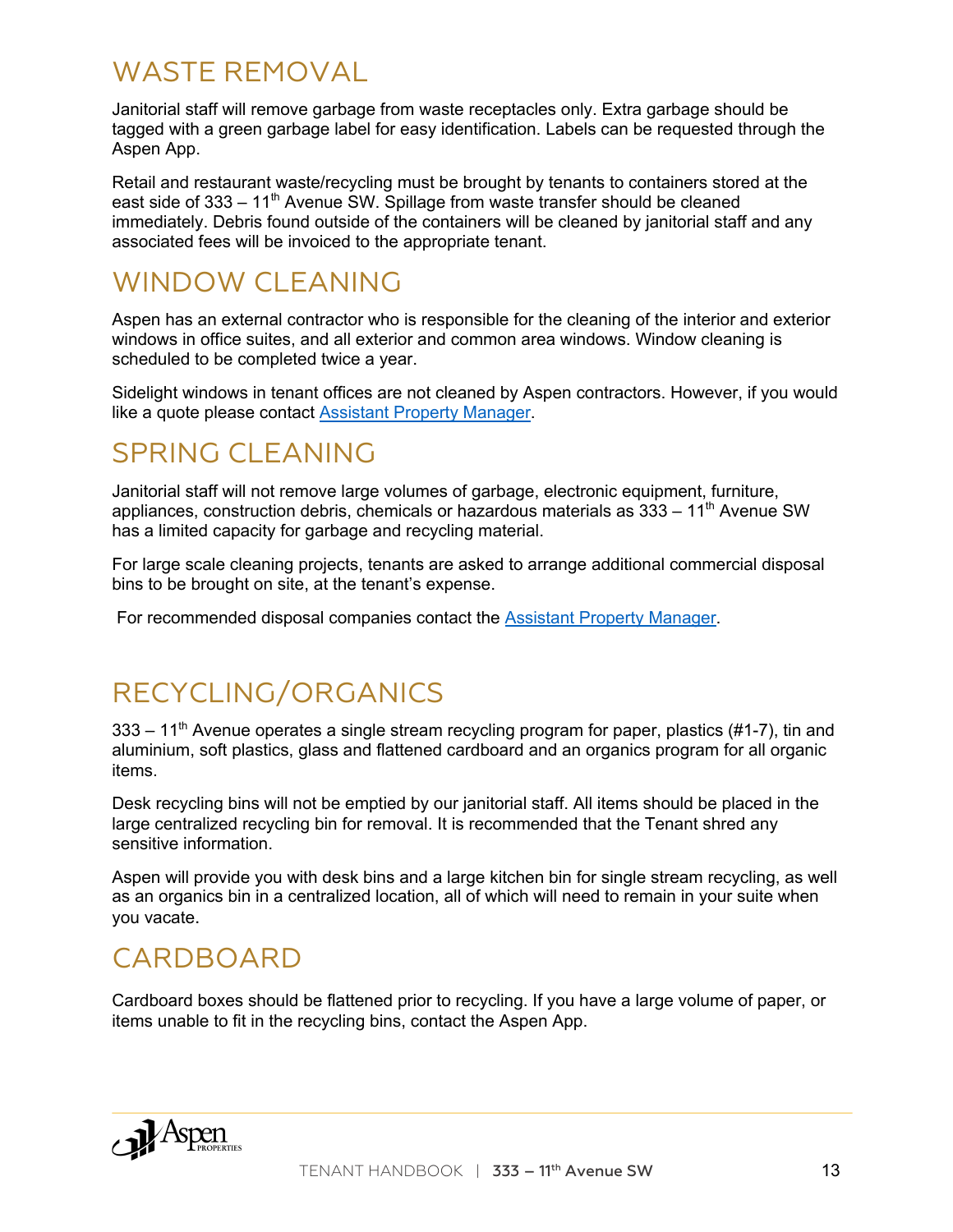#### WASTE REMOVAL

Janitorial staff will remove garbage from waste receptacles only. Extra garbage should be tagged with a green garbage label for easy identification. Labels can be requested through the Aspen App.

Retail and restaurant waste/recycling must be brought by tenants to containers stored at the east side of 333 – 11<sup>th</sup> Avenue SW. Spillage from waste transfer should be cleaned immediately. Debris found outside of the containers will be cleaned by janitorial staff and any associated fees will be invoiced to the appropriate tenant.

### WINDOW CLEANING

Aspen has an external contractor who is responsible for the cleaning of the interior and exterior windows in office suites, and all exterior and common area windows. Window cleaning is scheduled to be completed twice a year.

Sidelight windows in tenant offices are not cleaned by Aspen contractors. However, if you would like a quote please contact Assistant Property Manager.

#### SPRING CLEANING

Janitorial staff will not remove large volumes of garbage, electronic equipment, furniture, appliances, construction debris, chemicals or hazardous materials as  $333 - 11<sup>th</sup>$  Avenue SW has a limited capacity for garbage and recycling material.

For large scale cleaning projects, tenants are asked to arrange additional commercial disposal bins to be brought on site, at the tenant's expense.

For recommended disposal companies contact the Assistant Property Manager.

# RECYCLING/ORGANICS

 $333 - 11<sup>th</sup>$  Avenue operates a single stream recycling program for paper, plastics (#1-7), tin and aluminium, soft plastics, glass and flattened cardboard and an organics program for all organic items.

Desk recycling bins will not be emptied by our janitorial staff. All items should be placed in the large centralized recycling bin for removal. It is recommended that the Tenant shred any sensitive information.

Aspen will provide you with desk bins and a large kitchen bin for single stream recycling, as well as an organics bin in a centralized location, all of which will need to remain in your suite when you vacate.

#### CARDBOARD

Cardboard boxes should be flattened prior to recycling. If you have a large volume of paper, or items unable to fit in the recycling bins, contact the Aspen App.

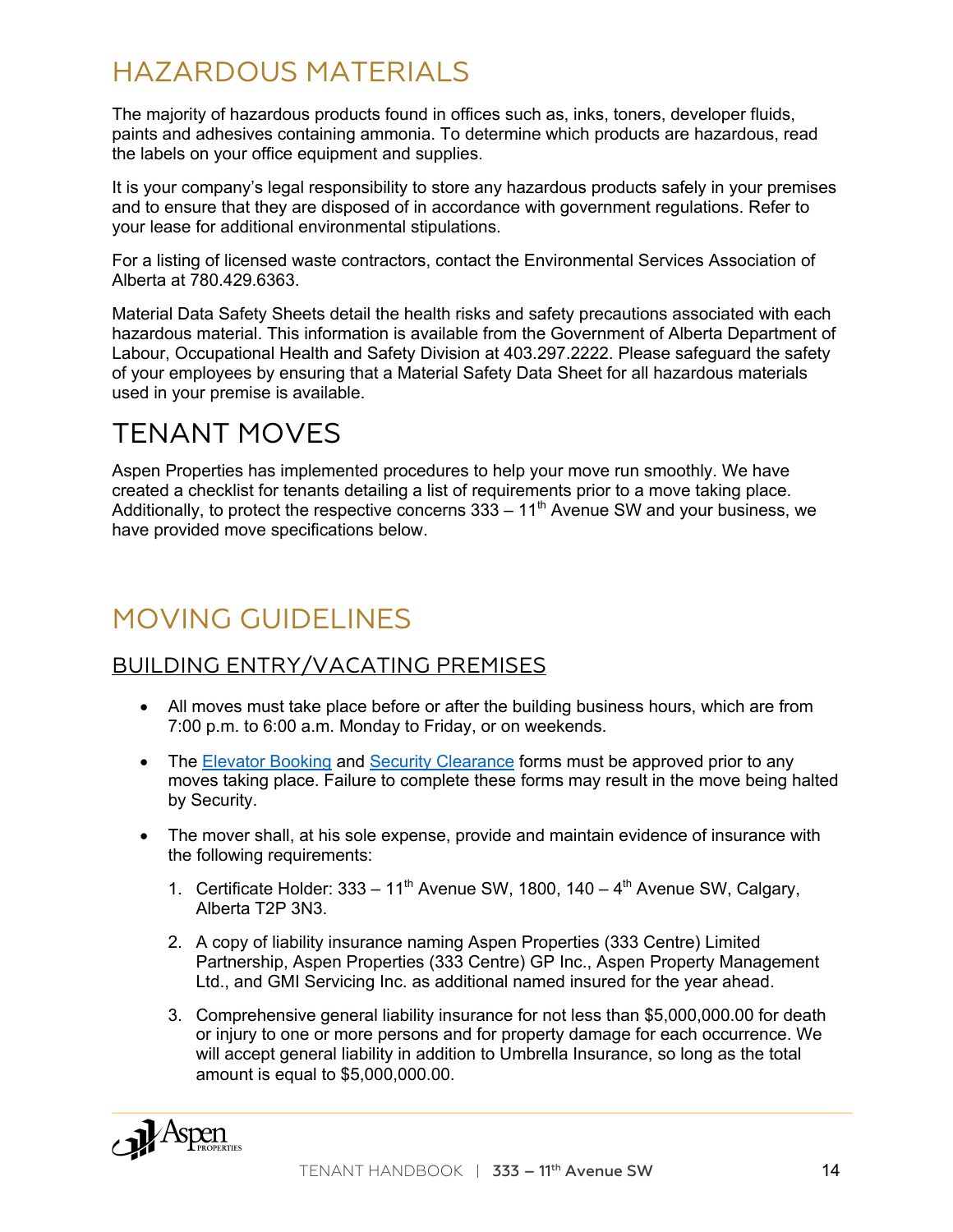### HAZARDOUS MATERIALS

The majority of hazardous products found in offices such as, inks, toners, developer fluids, paints and adhesives containing ammonia. To determine which products are hazardous, read the labels on your office equipment and supplies.

It is your company's legal responsibility to store any hazardous products safely in your premises and to ensure that they are disposed of in accordance with government regulations. Refer to your lease for additional environmental stipulations.

For a listing of licensed waste contractors, contact the Environmental Services Association of Alberta at 780.429.6363.

Material Data Safety Sheets detail the health risks and safety precautions associated with each hazardous material. This information is available from the Government of Alberta Department of Labour, Occupational Health and Safety Division at 403.297.2222. Please safeguard the safety of your employees by ensuring that a Material Safety Data Sheet for all hazardous materials used in your premise is available.

#### TENANT MOVES

Aspen Properties has implemented procedures to help your move run smoothly. We have created a checklist for tenants detailing a list of requirements prior to a move taking place. Additionally, to protect the respective concerns  $333 - 11<sup>th</sup>$  Avenue SW and your business, we have provided move specifications below.

# MOVING GUIDELINES

#### BUILDING ENTRY/VACATING PREMISES

- All moves must take place before or after the building business hours, which are from 7:00 p.m. to 6:00 a.m. Monday to Friday, or on weekends.
- The Elevator Booking and Security Clearance forms must be approved prior to any moves taking place. Failure to complete these forms may result in the move being halted by Security.
- The mover shall, at his sole expense, provide and maintain evidence of insurance with the following requirements:
	- 1. Certificate Holder:  $333 11<sup>th</sup>$  Avenue SW, 1800, 140 4<sup>th</sup> Avenue SW, Calgary, Alberta T2P 3N3.
	- 2. A copy of liability insurance naming Aspen Properties (333 Centre) Limited Partnership, Aspen Properties (333 Centre) GP Inc., Aspen Property Management Ltd., and GMI Servicing Inc. as additional named insured for the year ahead.
	- 3. Comprehensive general liability insurance for not less than \$5,000,000.00 for death or injury to one or more persons and for property damage for each occurrence. We will accept general liability in addition to Umbrella Insurance, so long as the total amount is equal to \$5,000,000.00.

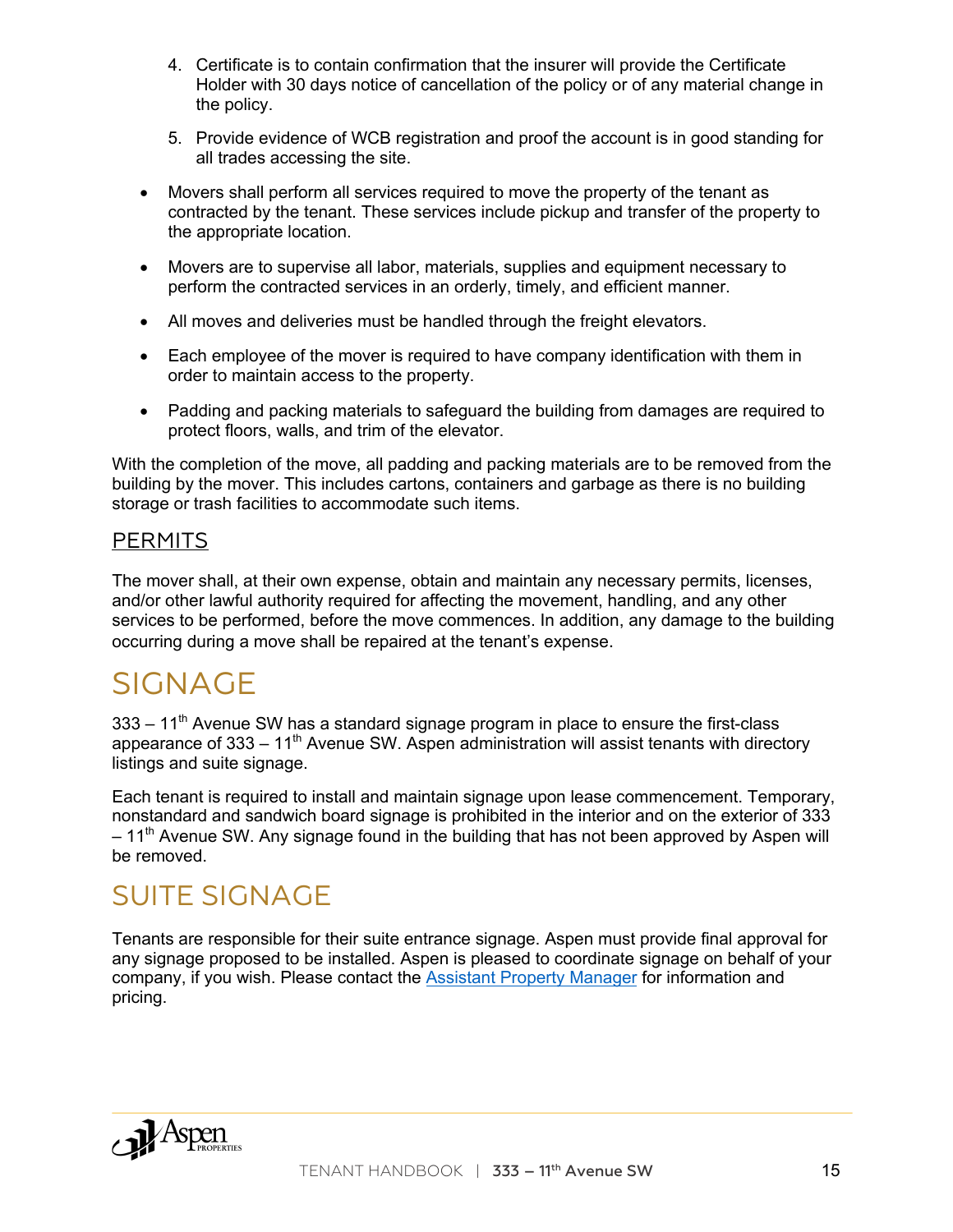- 4. Certificate is to contain confirmation that the insurer will provide the Certificate Holder with 30 days notice of cancellation of the policy or of any material change in the policy.
- 5. Provide evidence of WCB registration and proof the account is in good standing for all trades accessing the site.
- Movers shall perform all services required to move the property of the tenant as contracted by the tenant. These services include pickup and transfer of the property to the appropriate location.
- Movers are to supervise all labor, materials, supplies and equipment necessary to perform the contracted services in an orderly, timely, and efficient manner.
- All moves and deliveries must be handled through the freight elevators.
- Each employee of the mover is required to have company identification with them in order to maintain access to the property.
- Padding and packing materials to safeguard the building from damages are required to protect floors, walls, and trim of the elevator.

With the completion of the move, all padding and packing materials are to be removed from the building by the mover. This includes cartons, containers and garbage as there is no building storage or trash facilities to accommodate such items.

#### **PERMITS**

The mover shall, at their own expense, obtain and maintain any necessary permits, licenses, and/or other lawful authority required for affecting the movement, handling, and any other services to be performed, before the move commences. In addition, any damage to the building occurring during a move shall be repaired at the tenant's expense.

# SIGNAGE

 $333 - 11<sup>th</sup>$  Avenue SW has a standard signage program in place to ensure the first-class appearance of  $333 - 11<sup>th</sup>$  Avenue SW. Aspen administration will assist tenants with directory listings and suite signage.

Each tenant is required to install and maintain signage upon lease commencement. Temporary, nonstandard and sandwich board signage is prohibited in the interior and on the exterior of 333  $-11<sup>th</sup>$  Avenue SW. Any signage found in the building that has not been approved by Aspen will be removed.

#### SUITE SIGNAGE

Tenants are responsible for their suite entrance signage. Aspen must provide final approval for any signage proposed to be installed. Aspen is pleased to coordinate signage on behalf of your company, if you wish. Please contact the Assistant Property Manager for information and pricing.

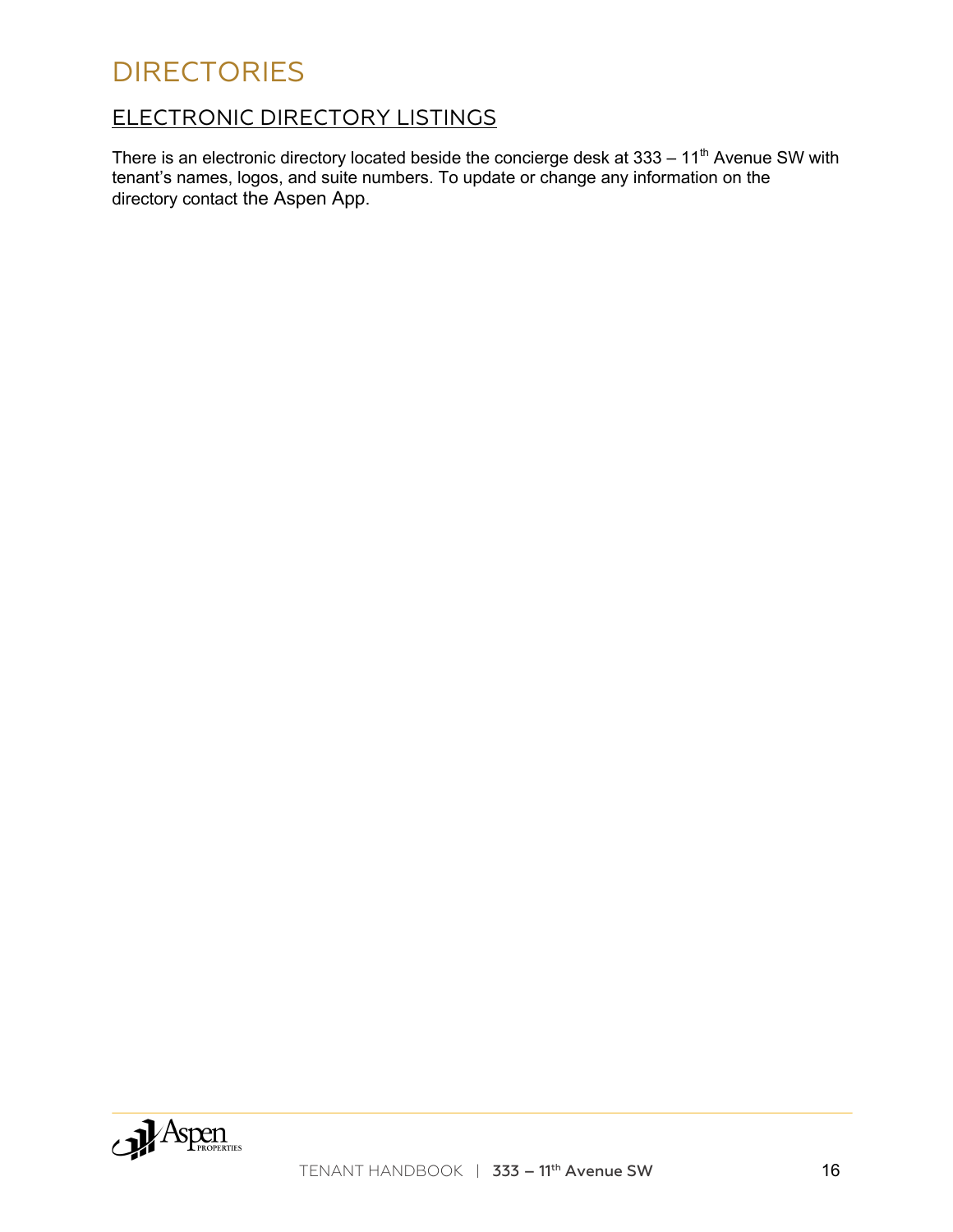### **DIRECTORIES**

#### ELECTRONIC DIRECTORY LISTINGS

There is an electronic directory located beside the concierge desk at  $333 - 11<sup>th</sup>$  Avenue SW with tenant's names, logos, and suite numbers. To update or change any information on the directory contact the Aspen App.

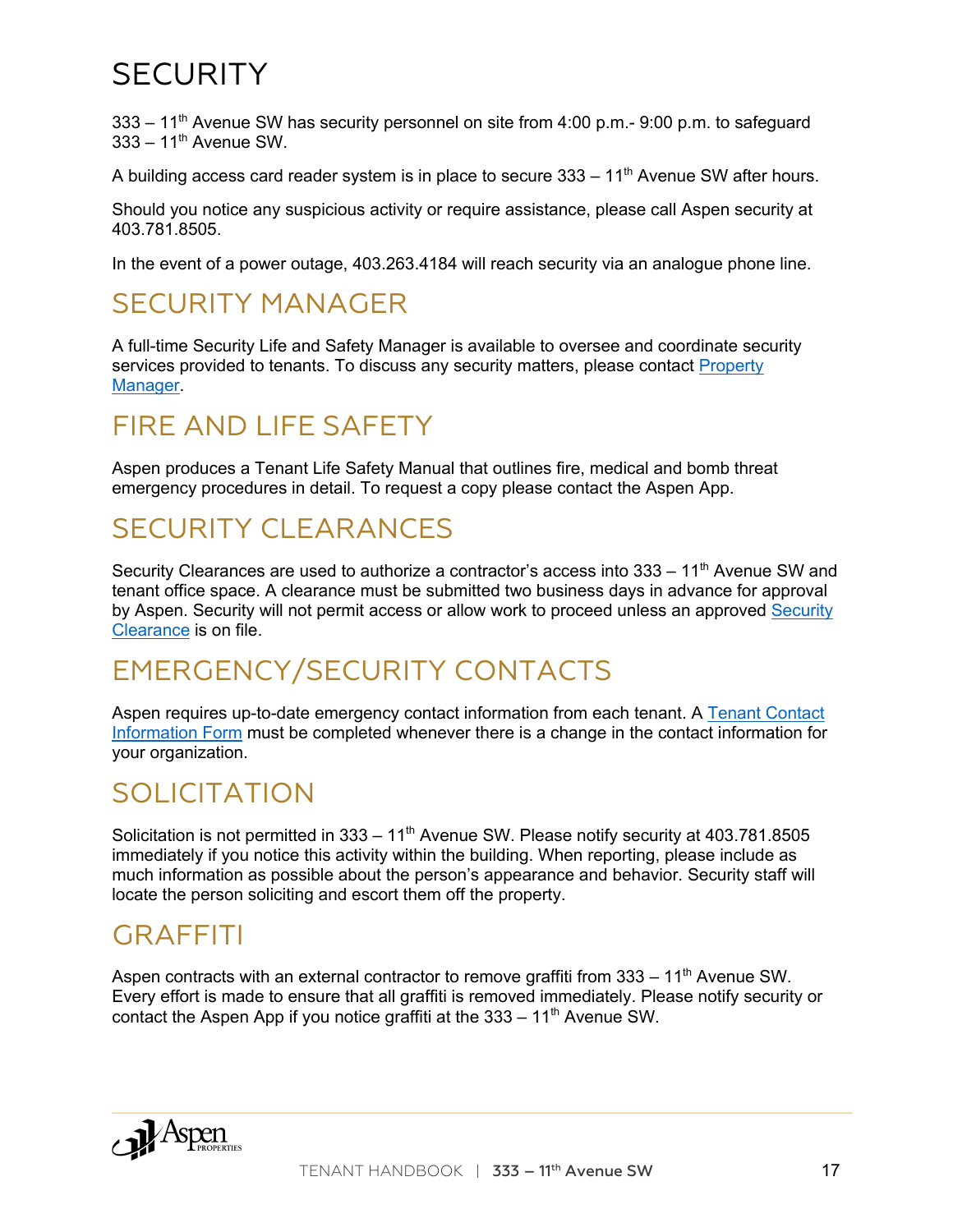# **SECURITY**

 $333 - 11<sup>th</sup>$  Avenue SW has security personnel on site from 4:00 p.m.- 9:00 p.m. to safeguard  $333 - 11^{th}$  Avenue SW.

A building access card reader system is in place to secure  $333 - 11<sup>th</sup>$  Avenue SW after hours.

Should you notice any suspicious activity or require assistance, please call Aspen security at 403.781.8505.

In the event of a power outage, 403.263.4184 will reach security via an analogue phone line.

#### SECURITY MANAGER

A full-time Security Life and Safety Manager is available to oversee and coordinate security services provided to tenants. To discuss any security matters, please contact Property Manager.

#### FIRE AND LIFE SAFETY

Aspen produces a Tenant Life Safety Manual that outlines fire, medical and bomb threat emergency procedures in detail. To request a copy please contact the Aspen App.

#### SECURITY CLEARANCES

Security Clearances are used to authorize a contractor's access into  $333 - 11<sup>th</sup>$  Avenue SW and tenant office space. A clearance must be submitted two business days in advance for approval by Aspen. Security will not permit access or allow work to proceed unless an approved Security Clearance is on file.

# EMERGENCY/SECURITY CONTACTS

Aspen requires up-to-date emergency contact information from each tenant. A Tenant Contact Information Form must be completed whenever there is a change in the contact information for your organization.

#### SOLICITATION

Solicitation is not permitted in  $333 - 11<sup>th</sup>$  Avenue SW. Please notify security at 403.781.8505 immediately if you notice this activity within the building. When reporting, please include as much information as possible about the person's appearance and behavior. Security staff will locate the person soliciting and escort them off the property.

#### GRAFFITI

Aspen contracts with an external contractor to remove graffiti from  $333 - 11<sup>th</sup>$  Avenue SW. Every effort is made to ensure that all graffiti is removed immediately. Please notify security or contact the Aspen App if you notice graffiti at the  $333 - 11<sup>th</sup>$  Avenue SW.

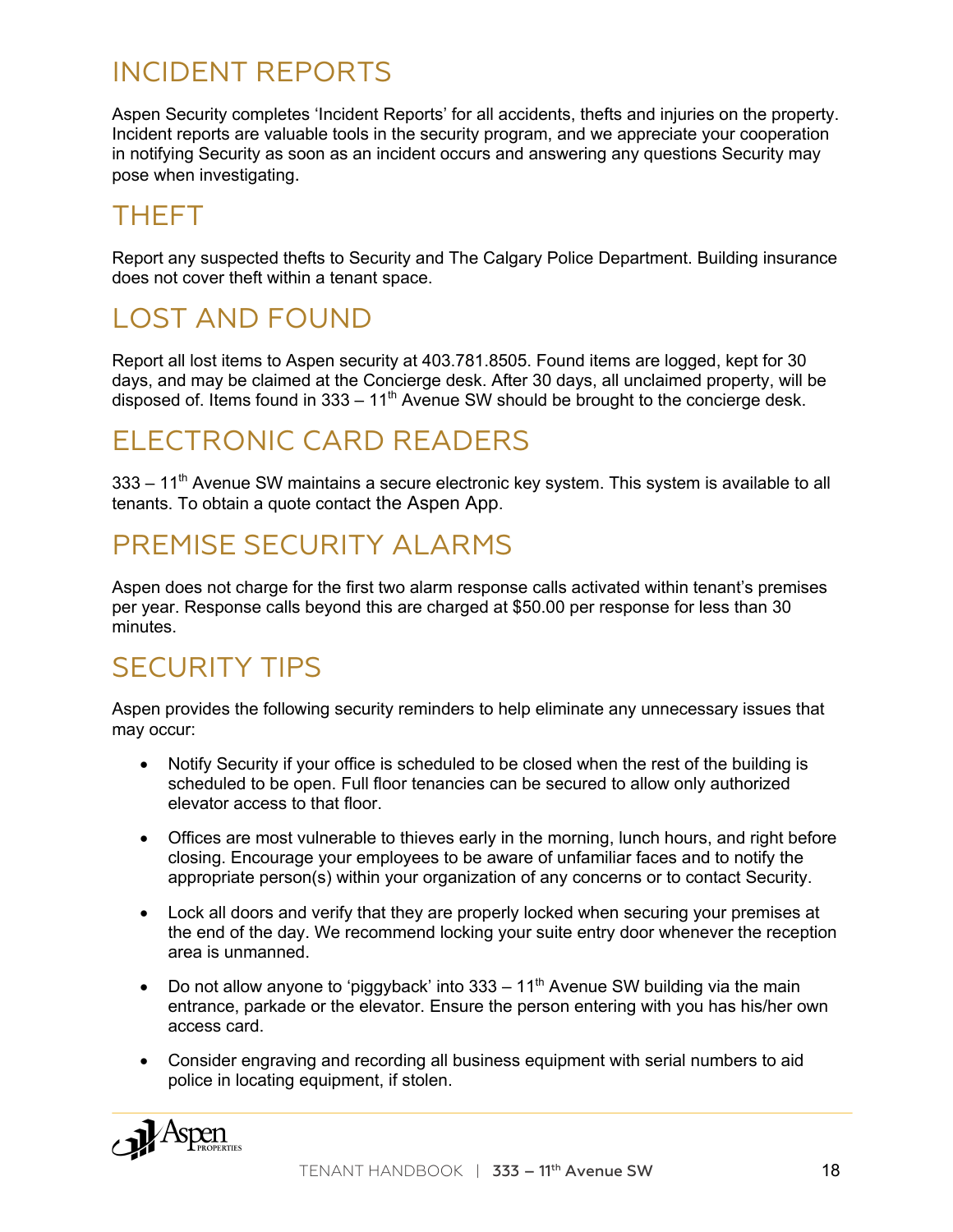#### INCIDENT REPORTS

Aspen Security completes 'Incident Reports' for all accidents, thefts and injuries on the property. Incident reports are valuable tools in the security program, and we appreciate your cooperation in notifying Security as soon as an incident occurs and answering any questions Security may pose when investigating.

### THEFT

Report any suspected thefts to Security and The Calgary Police Department. Building insurance does not cover theft within a tenant space.

# LOST AND FOUND

Report all lost items to Aspen security at 403.781.8505. Found items are logged, kept for 30 days, and may be claimed at the Concierge desk. After 30 days, all unclaimed property, will be disposed of. Items found in  $333 - 11<sup>th</sup>$  Avenue SW should be brought to the concierge desk.

## ELECTRONIC CARD READERS

 $333 - 11<sup>th</sup>$  Avenue SW maintains a secure electronic key system. This system is available to all tenants. To obtain a quote contact the Aspen App.

#### PREMISE SECURITY ALARMS

Aspen does not charge for the first two alarm response calls activated within tenant's premises per year. Response calls beyond this are charged at \$50.00 per response for less than 30 minutes.

# SECURITY TIPS

Aspen provides the following security reminders to help eliminate any unnecessary issues that may occur:

- Notify Security if your office is scheduled to be closed when the rest of the building is scheduled to be open. Full floor tenancies can be secured to allow only authorized elevator access to that floor.
- Offices are most vulnerable to thieves early in the morning, lunch hours, and right before closing. Encourage your employees to be aware of unfamiliar faces and to notify the appropriate person(s) within your organization of any concerns or to contact Security.
- Lock all doors and verify that they are properly locked when securing your premises at the end of the day. We recommend locking your suite entry door whenever the reception area is unmanned.
- Do not allow anyone to 'piggyback' into  $333 11<sup>th</sup>$  Avenue SW building via the main entrance, parkade or the elevator. Ensure the person entering with you has his/her own access card.
- Consider engraving and recording all business equipment with serial numbers to aid police in locating equipment, if stolen.